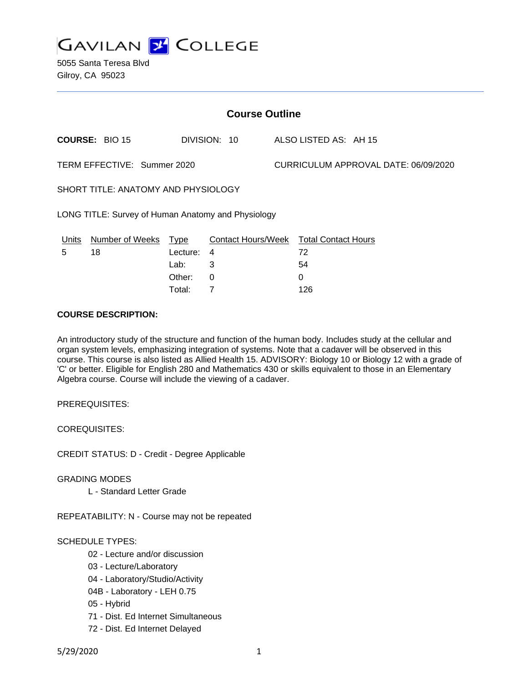

5055 Santa Teresa Blvd Gilroy, CA 95023

| <b>Course Outline</b>                              |                       |             |              |                           |                                      |  |
|----------------------------------------------------|-----------------------|-------------|--------------|---------------------------|--------------------------------------|--|
|                                                    | <b>COURSE: BIO 15</b> |             | DIVISION: 10 |                           | ALSO LISTED AS: AH 15                |  |
| TERM EFFECTIVE: Summer 2020                        |                       |             |              |                           | CURRICULUM APPROVAL DATE: 06/09/2020 |  |
| SHORT TITLE: ANATOMY AND PHYSIOLOGY                |                       |             |              |                           |                                      |  |
| LONG TITLE: Survey of Human Anatomy and Physiology |                       |             |              |                           |                                      |  |
| Units                                              | Number of Weeks       | <b>Type</b> |              | <b>Contact Hours/Week</b> | <b>Total Contact Hours</b>           |  |
| 5                                                  | 18                    | Lecture:    | 4            |                           | 72                                   |  |
|                                                    |                       | Lab:        | 3            |                           | 54                                   |  |
|                                                    |                       | Other:      | 0            |                           | 0                                    |  |
|                                                    |                       | Total:      | 7            |                           | 126                                  |  |

## **COURSE DESCRIPTION:**

An introductory study of the structure and function of the human body. Includes study at the cellular and organ system levels, emphasizing integration of systems. Note that a cadaver will be observed in this course. This course is also listed as Allied Health 15. ADVISORY: Biology 10 or Biology 12 with a grade of 'C' or better. Eligible for English 280 and Mathematics 430 or skills equivalent to those in an Elementary Algebra course. Course will include the viewing of a cadaver.

PREREQUISITES:

COREQUISITES:

CREDIT STATUS: D - Credit - Degree Applicable

GRADING MODES

L - Standard Letter Grade

REPEATABILITY: N - Course may not be repeated

# SCHEDULE TYPES:

- 02 Lecture and/or discussion
- 03 Lecture/Laboratory
- 04 Laboratory/Studio/Activity
- 04B Laboratory LEH 0.75
- 05 Hybrid
- 71 Dist. Ed Internet Simultaneous
- 72 Dist. Ed Internet Delayed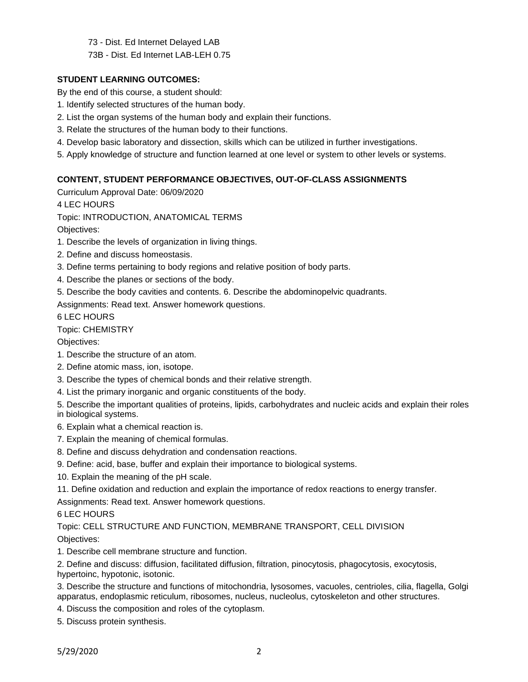73 - Dist. Ed Internet Delayed LAB

73B - Dist. Ed Internet LAB-LEH 0.75

# **STUDENT LEARNING OUTCOMES:**

By the end of this course, a student should:

- 1. Identify selected structures of the human body.
- 2. List the organ systems of the human body and explain their functions.
- 3. Relate the structures of the human body to their functions.
- 4. Develop basic laboratory and dissection, skills which can be utilized in further investigations.
- 5. Apply knowledge of structure and function learned at one level or system to other levels or systems.

# **CONTENT, STUDENT PERFORMANCE OBJECTIVES, OUT-OF-CLASS ASSIGNMENTS**

Curriculum Approval Date: 06/09/2020

4 LEC HOURS

Topic: INTRODUCTION, ANATOMICAL TERMS

Objectives:

- 1. Describe the levels of organization in living things.
- 2. Define and discuss homeostasis.
- 3. Define terms pertaining to body regions and relative position of body parts.
- 4. Describe the planes or sections of the body.
- 5. Describe the body cavities and contents. 6. Describe the abdominopelvic quadrants.

Assignments: Read text. Answer homework questions.

6 LEC HOURS

Topic: CHEMISTRY

Objectives:

- 1. Describe the structure of an atom.
- 2. Define atomic mass, ion, isotope.
- 3. Describe the types of chemical bonds and their relative strength.
- 4. List the primary inorganic and organic constituents of the body.

5. Describe the important qualities of proteins, lipids, carbohydrates and nucleic acids and explain their roles in biological systems.

- 6. Explain what a chemical reaction is.
- 7. Explain the meaning of chemical formulas.
- 8. Define and discuss dehydration and condensation reactions.
- 9. Define: acid, base, buffer and explain their importance to biological systems.
- 10. Explain the meaning of the pH scale.
- 11. Define oxidation and reduction and explain the importance of redox reactions to energy transfer.

Assignments: Read text. Answer homework questions.

# 6 LEC HOURS

Topic: CELL STRUCTURE AND FUNCTION, MEMBRANE TRANSPORT, CELL DIVISION Objectives:

1. Describe cell membrane structure and function.

2. Define and discuss: diffusion, facilitated diffusion, filtration, pinocytosis, phagocytosis, exocytosis, hypertoinc, hypotonic, isotonic.

3. Describe the structure and functions of mitochondria, lysosomes, vacuoles, centrioles, cilia, flagella, Golgi apparatus, endoplasmic reticulum, ribosomes, nucleus, nucleolus, cytoskeleton and other structures.

- 4. Discuss the composition and roles of the cytoplasm.
- 5. Discuss protein synthesis.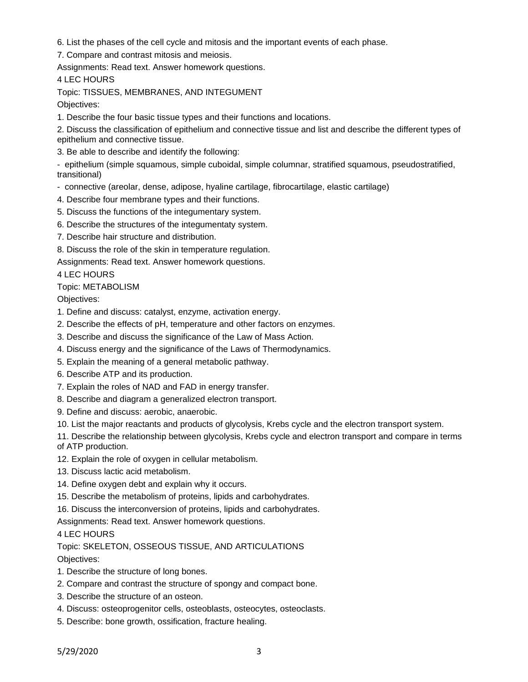- 6. List the phases of the cell cycle and mitosis and the important events of each phase.
- 7. Compare and contrast mitosis and meiosis.

4 LEC HOURS

Topic: TISSUES, MEMBRANES, AND INTEGUMENT

Objectives:

1. Describe the four basic tissue types and their functions and locations.

2. Discuss the classification of epithelium and connective tissue and list and describe the different types of epithelium and connective tissue.

3. Be able to describe and identify the following:

- epithelium (simple squamous, simple cuboidal, simple columnar, stratified squamous, pseudostratified, transitional)

- connective (areolar, dense, adipose, hyaline cartilage, fibrocartilage, elastic cartilage)
- 4. Describe four membrane types and their functions.
- 5. Discuss the functions of the integumentary system.
- 6. Describe the structures of the integumentaty system.
- 7. Describe hair structure and distribution.
- 8. Discuss the role of the skin in temperature regulation.

Assignments: Read text. Answer homework questions.

4 LEC HOURS

# Topic: METABOLISM

Objectives:

- 1. Define and discuss: catalyst, enzyme, activation energy.
- 2. Describe the effects of pH, temperature and other factors on enzymes.
- 3. Describe and discuss the significance of the Law of Mass Action.
- 4. Discuss energy and the significance of the Laws of Thermodynamics.
- 5. Explain the meaning of a general metabolic pathway.
- 6. Describe ATP and its production.
- 7. Explain the roles of NAD and FAD in energy transfer.
- 8. Describe and diagram a generalized electron transport.
- 9. Define and discuss: aerobic, anaerobic.
- 10. List the major reactants and products of glycolysis, Krebs cycle and the electron transport system.

11. Describe the relationship between glycolysis, Krebs cycle and electron transport and compare in terms of ATP production.

12. Explain the role of oxygen in cellular metabolism.

- 13. Discuss lactic acid metabolism.
- 14. Define oxygen debt and explain why it occurs.
- 15. Describe the metabolism of proteins, lipids and carbohydrates.

16. Discuss the interconversion of proteins, lipids and carbohydrates.

Assignments: Read text. Answer homework questions.

4 LEC HOURS

Topic: SKELETON, OSSEOUS TISSUE, AND ARTICULATIONS

- 1. Describe the structure of long bones.
- 2. Compare and contrast the structure of spongy and compact bone.
- 3. Describe the structure of an osteon.
- 4. Discuss: osteoprogenitor cells, osteoblasts, osteocytes, osteoclasts.
- 5. Describe: bone growth, ossification, fracture healing.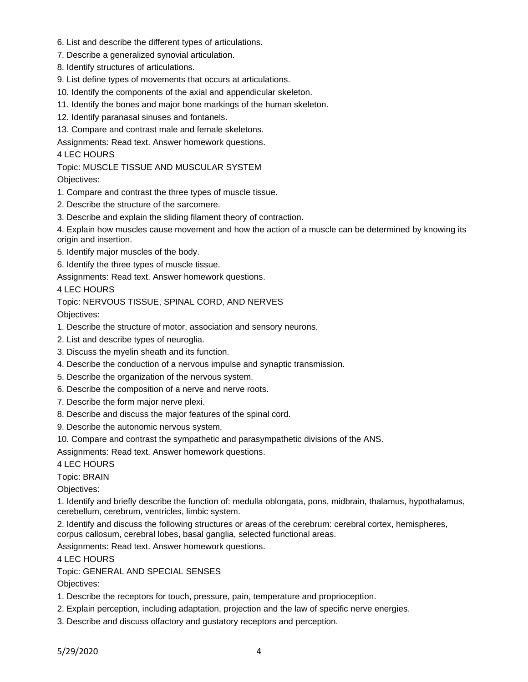- 6. List and describe the different types of articulations.
- 7. Describe a generalized synovial articulation.
- 8. Identify structures of articulations.
- 9. List define types of movements that occurs at articulations.
- 10. Identify the components of the axial and appendicular skeleton.
- 11. Identify the bones and major bone markings of the human skeleton.
- 12. Identify paranasal sinuses and fontanels.
- 13. Compare and contrast male and female skeletons.

## 4 LEC HOURS

Topic: MUSCLE TISSUE AND MUSCULAR SYSTEM

Objectives:

- 1. Compare and contrast the three types of muscle tissue.
- 2. Describe the structure of the sarcomere.
- 3. Describe and explain the sliding filament theory of contraction.

4. Explain how muscles cause movement and how the action of a muscle can be determined by knowing its origin and insertion.

- 5. Identify major muscles of the body.
- 6. Identify the three types of muscle tissue.

Assignments: Read text. Answer homework questions.

4 LEC HOURS

Topic: NERVOUS TISSUE, SPINAL CORD, AND NERVES

Objectives:

- 1. Describe the structure of motor, association and sensory neurons.
- 2. List and describe types of neuroglia.
- 3. Discuss the myelin sheath and its function.
- 4. Describe the conduction of a nervous impulse and synaptic transmission.
- 5. Describe the organization of the nervous system.
- 6. Describe the composition of a nerve and nerve roots.
- 7. Describe the form major nerve plexi.
- 8. Describe and discuss the major features of the spinal cord.
- 9. Describe the autonomic nervous system.
- 10. Compare and contrast the sympathetic and parasympathetic divisions of the ANS.

Assignments: Read text. Answer homework questions.

4 LEC HOURS

Topic: BRAIN

Objectives:

1. Identify and briefly describe the function of: medulla oblongata, pons, midbrain, thalamus, hypothalamus, cerebellum, cerebrum, ventricles, limbic system.

2. Identify and discuss the following structures or areas of the cerebrum: cerebral cortex, hemispheres, corpus callosum, cerebral lobes, basal ganglia, selected functional areas.

Assignments: Read text. Answer homework questions.

4 LEC HOURS

Topic: GENERAL AND SPECIAL SENSES

- 1. Describe the receptors for touch, pressure, pain, temperature and proprioception.
- 2. Explain perception, including adaptation, projection and the law of specific nerve energies.
- 3. Describe and discuss olfactory and gustatory receptors and perception.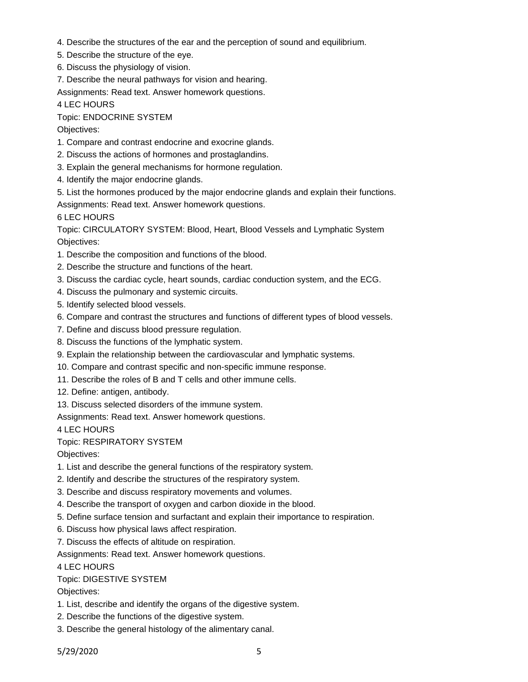- 4. Describe the structures of the ear and the perception of sound and equilibrium.
- 5. Describe the structure of the eye.
- 6. Discuss the physiology of vision.
- 7. Describe the neural pathways for vision and hearing.

4 LEC HOURS

Topic: ENDOCRINE SYSTEM

Objectives:

- 1. Compare and contrast endocrine and exocrine glands.
- 2. Discuss the actions of hormones and prostaglandins.
- 3. Explain the general mechanisms for hormone regulation.
- 4. Identify the major endocrine glands.
- 5. List the hormones produced by the major endocrine glands and explain their functions.

Assignments: Read text. Answer homework questions.

6 LEC HOURS

Topic: CIRCULATORY SYSTEM: Blood, Heart, Blood Vessels and Lymphatic System Objectives:

- 1. Describe the composition and functions of the blood.
- 2. Describe the structure and functions of the heart.
- 3. Discuss the cardiac cycle, heart sounds, cardiac conduction system, and the ECG.
- 4. Discuss the pulmonary and systemic circuits.
- 5. Identify selected blood vessels.
- 6. Compare and contrast the structures and functions of different types of blood vessels.
- 7. Define and discuss blood pressure regulation.
- 8. Discuss the functions of the lymphatic system.
- 9. Explain the relationship between the cardiovascular and lymphatic systems.
- 10. Compare and contrast specific and non-specific immune response.
- 11. Describe the roles of B and T cells and other immune cells.
- 12. Define: antigen, antibody.
- 13. Discuss selected disorders of the immune system.

Assignments: Read text. Answer homework questions.

4 LEC HOURS

Topic: RESPIRATORY SYSTEM

Objectives:

- 1. List and describe the general functions of the respiratory system.
- 2. Identify and describe the structures of the respiratory system.
- 3. Describe and discuss respiratory movements and volumes.
- 4. Describe the transport of oxygen and carbon dioxide in the blood.
- 5. Define surface tension and surfactant and explain their importance to respiration.
- 6. Discuss how physical laws affect respiration.
- 7. Discuss the effects of altitude on respiration.

Assignments: Read text. Answer homework questions.

4 LEC HOURS

# Topic: DIGESTIVE SYSTEM

- 1. List, describe and identify the organs of the digestive system.
- 2. Describe the functions of the digestive system.
- 3. Describe the general histology of the alimentary canal.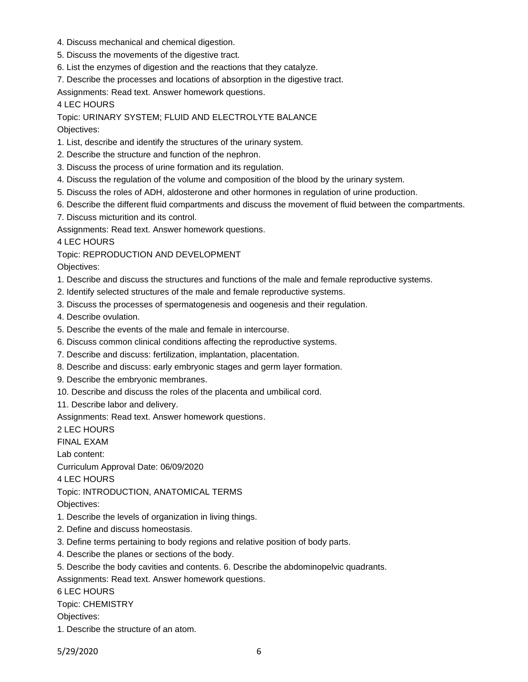- 4. Discuss mechanical and chemical digestion.
- 5. Discuss the movements of the digestive tract.
- 6. List the enzymes of digestion and the reactions that they catalyze.
- 7. Describe the processes and locations of absorption in the digestive tract.

4 LEC HOURS

Topic: URINARY SYSTEM; FLUID AND ELECTROLYTE BALANCE Objectives:

1. List, describe and identify the structures of the urinary system.

- 2. Describe the structure and function of the nephron.
- 3. Discuss the process of urine formation and its regulation.
- 4. Discuss the regulation of the volume and composition of the blood by the urinary system.
- 5. Discuss the roles of ADH, aldosterone and other hormones in regulation of urine production.
- 6. Describe the different fluid compartments and discuss the movement of fluid between the compartments.
- 7. Discuss micturition and its control.

Assignments: Read text. Answer homework questions.

4 LEC HOURS

Topic: REPRODUCTION AND DEVELOPMENT

Objectives:

- 1. Describe and discuss the structures and functions of the male and female reproductive systems.
- 2. Identify selected structures of the male and female reproductive systems.
- 3. Discuss the processes of spermatogenesis and oogenesis and their regulation.

4. Describe ovulation.

- 5. Describe the events of the male and female in intercourse.
- 6. Discuss common clinical conditions affecting the reproductive systems.
- 7. Describe and discuss: fertilization, implantation, placentation.
- 8. Describe and discuss: early embryonic stages and germ layer formation.
- 9. Describe the embryonic membranes.
- 10. Describe and discuss the roles of the placenta and umbilical cord.

11. Describe labor and delivery.

Assignments: Read text. Answer homework questions.

2 LEC HOURS

FINAL EXAM

Lab content:

Curriculum Approval Date: 06/09/2020

4 LEC HOURS

Topic: INTRODUCTION, ANATOMICAL TERMS

Objectives:

- 1. Describe the levels of organization in living things.
- 2. Define and discuss homeostasis.
- 3. Define terms pertaining to body regions and relative position of body parts.
- 4. Describe the planes or sections of the body.
- 5. Describe the body cavities and contents. 6. Describe the abdominopelvic quadrants.
- Assignments: Read text. Answer homework questions.

6 LEC HOURS

Topic: CHEMISTRY

Objectives:

1. Describe the structure of an atom.

5/29/2020 6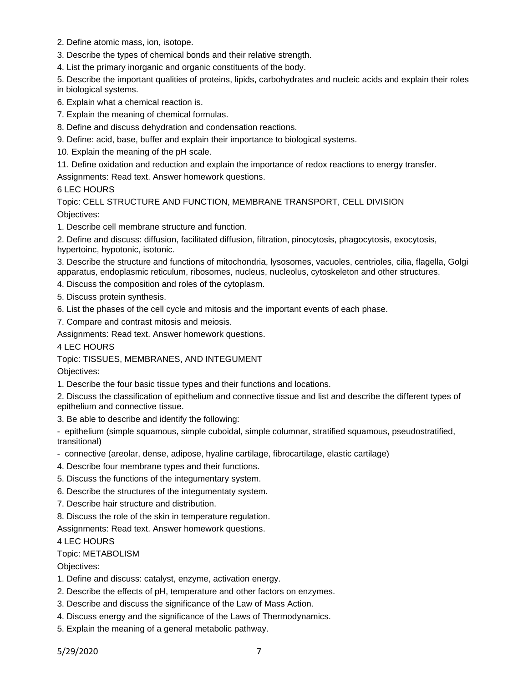- 2. Define atomic mass, ion, isotope.
- 3. Describe the types of chemical bonds and their relative strength.
- 4. List the primary inorganic and organic constituents of the body.
- 5. Describe the important qualities of proteins, lipids, carbohydrates and nucleic acids and explain their roles in biological systems.
- 6. Explain what a chemical reaction is.
- 7. Explain the meaning of chemical formulas.
- 8. Define and discuss dehydration and condensation reactions.
- 9. Define: acid, base, buffer and explain their importance to biological systems.
- 10. Explain the meaning of the pH scale.
- 11. Define oxidation and reduction and explain the importance of redox reactions to energy transfer.
- Assignments: Read text. Answer homework questions.

## 6 LEC HOURS

Topic: CELL STRUCTURE AND FUNCTION, MEMBRANE TRANSPORT, CELL DIVISION Objectives:

1. Describe cell membrane structure and function.

2. Define and discuss: diffusion, facilitated diffusion, filtration, pinocytosis, phagocytosis, exocytosis, hypertoinc, hypotonic, isotonic.

3. Describe the structure and functions of mitochondria, lysosomes, vacuoles, centrioles, cilia, flagella, Golgi apparatus, endoplasmic reticulum, ribosomes, nucleus, nucleolus, cytoskeleton and other structures.

4. Discuss the composition and roles of the cytoplasm.

- 5. Discuss protein synthesis.
- 6. List the phases of the cell cycle and mitosis and the important events of each phase.
- 7. Compare and contrast mitosis and meiosis.

Assignments: Read text. Answer homework questions.

4 LEC HOURS

Topic: TISSUES, MEMBRANES, AND INTEGUMENT

Objectives:

1. Describe the four basic tissue types and their functions and locations.

2. Discuss the classification of epithelium and connective tissue and list and describe the different types of epithelium and connective tissue.

3. Be able to describe and identify the following:

- epithelium (simple squamous, simple cuboidal, simple columnar, stratified squamous, pseudostratified, transitional)

- connective (areolar, dense, adipose, hyaline cartilage, fibrocartilage, elastic cartilage)
- 4. Describe four membrane types and their functions.
- 5. Discuss the functions of the integumentary system.
- 6. Describe the structures of the integumentaty system.
- 7. Describe hair structure and distribution.
- 8. Discuss the role of the skin in temperature regulation.

Assignments: Read text. Answer homework questions.

4 LEC HOURS

#### Topic: METABOLISM

- 1. Define and discuss: catalyst, enzyme, activation energy.
- 2. Describe the effects of pH, temperature and other factors on enzymes.
- 3. Describe and discuss the significance of the Law of Mass Action.
- 4. Discuss energy and the significance of the Laws of Thermodynamics.
- 5. Explain the meaning of a general metabolic pathway.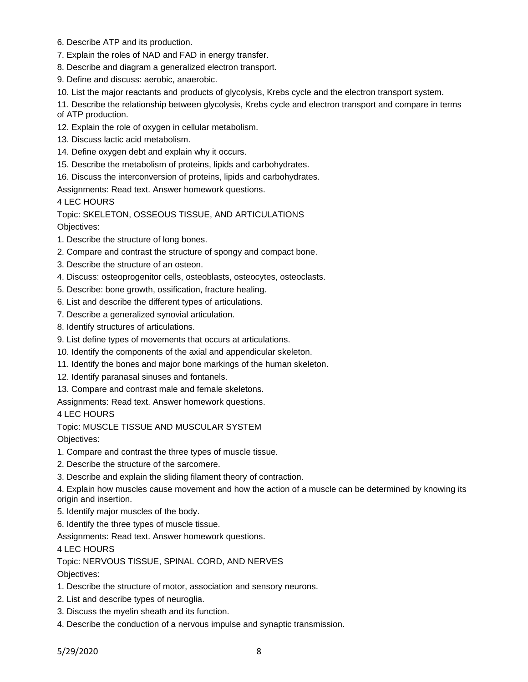- 6. Describe ATP and its production.
- 7. Explain the roles of NAD and FAD in energy transfer.
- 8. Describe and diagram a generalized electron transport.
- 9. Define and discuss: aerobic, anaerobic.
- 10. List the major reactants and products of glycolysis, Krebs cycle and the electron transport system.

11. Describe the relationship between glycolysis, Krebs cycle and electron transport and compare in terms of ATP production.

- 12. Explain the role of oxygen in cellular metabolism.
- 13. Discuss lactic acid metabolism.
- 14. Define oxygen debt and explain why it occurs.
- 15. Describe the metabolism of proteins, lipids and carbohydrates.
- 16. Discuss the interconversion of proteins, lipids and carbohydrates.

Assignments: Read text. Answer homework questions.

4 LEC HOURS

Topic: SKELETON, OSSEOUS TISSUE, AND ARTICULATIONS

Objectives:

- 1. Describe the structure of long bones.
- 2. Compare and contrast the structure of spongy and compact bone.
- 3. Describe the structure of an osteon.
- 4. Discuss: osteoprogenitor cells, osteoblasts, osteocytes, osteoclasts.
- 5. Describe: bone growth, ossification, fracture healing.
- 6. List and describe the different types of articulations.
- 7. Describe a generalized synovial articulation.
- 8. Identify structures of articulations.
- 9. List define types of movements that occurs at articulations.
- 10. Identify the components of the axial and appendicular skeleton.
- 11. Identify the bones and major bone markings of the human skeleton.
- 12. Identify paranasal sinuses and fontanels.
- 13. Compare and contrast male and female skeletons.

Assignments: Read text. Answer homework questions.

4 LEC HOURS

Topic: MUSCLE TISSUE AND MUSCULAR SYSTEM

Objectives:

1. Compare and contrast the three types of muscle tissue.

- 2. Describe the structure of the sarcomere.
- 3. Describe and explain the sliding filament theory of contraction.

4. Explain how muscles cause movement and how the action of a muscle can be determined by knowing its origin and insertion.

- 5. Identify major muscles of the body.
- 6. Identify the three types of muscle tissue.

Assignments: Read text. Answer homework questions.

4 LEC HOURS

Topic: NERVOUS TISSUE, SPINAL CORD, AND NERVES

- 1. Describe the structure of motor, association and sensory neurons.
- 2. List and describe types of neuroglia.
- 3. Discuss the myelin sheath and its function.
- 4. Describe the conduction of a nervous impulse and synaptic transmission.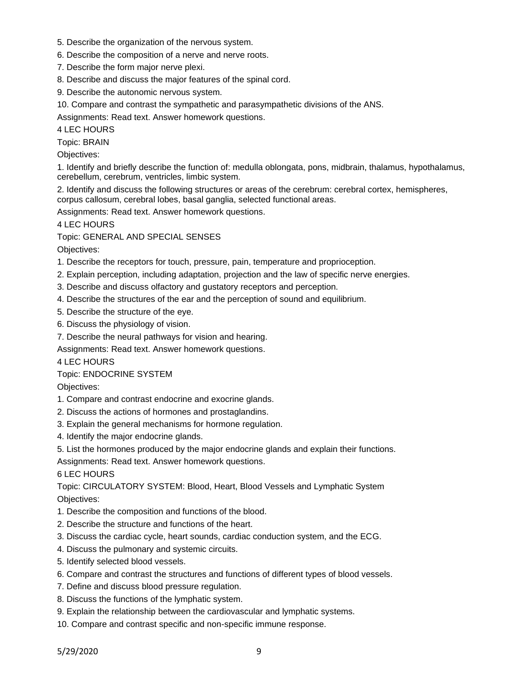- 5. Describe the organization of the nervous system.
- 6. Describe the composition of a nerve and nerve roots.
- 7. Describe the form major nerve plexi.
- 8. Describe and discuss the major features of the spinal cord.
- 9. Describe the autonomic nervous system.
- 10. Compare and contrast the sympathetic and parasympathetic divisions of the ANS.

4 LEC HOURS

Topic: BRAIN

Objectives:

1. Identify and briefly describe the function of: medulla oblongata, pons, midbrain, thalamus, hypothalamus, cerebellum, cerebrum, ventricles, limbic system.

2. Identify and discuss the following structures or areas of the cerebrum: cerebral cortex, hemispheres, corpus callosum, cerebral lobes, basal ganglia, selected functional areas.

Assignments: Read text. Answer homework questions.

4 LEC HOURS

Topic: GENERAL AND SPECIAL SENSES

Objectives:

- 1. Describe the receptors for touch, pressure, pain, temperature and proprioception.
- 2. Explain perception, including adaptation, projection and the law of specific nerve energies.
- 3. Describe and discuss olfactory and gustatory receptors and perception.
- 4. Describe the structures of the ear and the perception of sound and equilibrium.
- 5. Describe the structure of the eye.
- 6. Discuss the physiology of vision.
- 7. Describe the neural pathways for vision and hearing.

Assignments: Read text. Answer homework questions.

4 LEC HOURS

Topic: ENDOCRINE SYSTEM

Objectives:

- 1. Compare and contrast endocrine and exocrine glands.
- 2. Discuss the actions of hormones and prostaglandins.
- 3. Explain the general mechanisms for hormone regulation.
- 4. Identify the major endocrine glands.
- 5. List the hormones produced by the major endocrine glands and explain their functions.

Assignments: Read text. Answer homework questions.

6 LEC HOURS

Topic: CIRCULATORY SYSTEM: Blood, Heart, Blood Vessels and Lymphatic System Objectives:

- 1. Describe the composition and functions of the blood.
- 2. Describe the structure and functions of the heart.
- 3. Discuss the cardiac cycle, heart sounds, cardiac conduction system, and the ECG.
- 4. Discuss the pulmonary and systemic circuits.
- 5. Identify selected blood vessels.
- 6. Compare and contrast the structures and functions of different types of blood vessels.
- 7. Define and discuss blood pressure regulation.
- 8. Discuss the functions of the lymphatic system.
- 9. Explain the relationship between the cardiovascular and lymphatic systems.
- 10. Compare and contrast specific and non-specific immune response.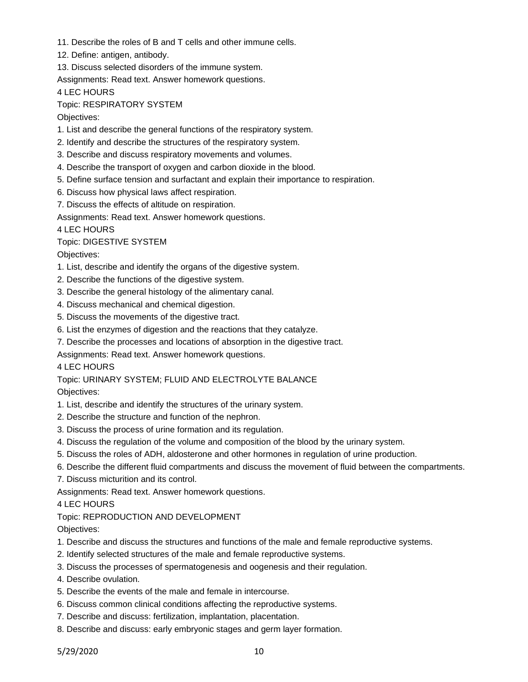- 11. Describe the roles of B and T cells and other immune cells.
- 12. Define: antigen, antibody.
- 13. Discuss selected disorders of the immune system.

4 LEC HOURS

Topic: RESPIRATORY SYSTEM

Objectives:

- 1. List and describe the general functions of the respiratory system.
- 2. Identify and describe the structures of the respiratory system.
- 3. Describe and discuss respiratory movements and volumes.
- 4. Describe the transport of oxygen and carbon dioxide in the blood.
- 5. Define surface tension and surfactant and explain their importance to respiration.
- 6. Discuss how physical laws affect respiration.
- 7. Discuss the effects of altitude on respiration.

Assignments: Read text. Answer homework questions.

4 LEC HOURS

## Topic: DIGESTIVE SYSTEM

Objectives:

- 1. List, describe and identify the organs of the digestive system.
- 2. Describe the functions of the digestive system.
- 3. Describe the general histology of the alimentary canal.
- 4. Discuss mechanical and chemical digestion.
- 5. Discuss the movements of the digestive tract.
- 6. List the enzymes of digestion and the reactions that they catalyze.
- 7. Describe the processes and locations of absorption in the digestive tract.
- Assignments: Read text. Answer homework questions.

4 LEC HOURS

Topic: URINARY SYSTEM; FLUID AND ELECTROLYTE BALANCE Objectives:

- 1. List, describe and identify the structures of the urinary system.
- 2. Describe the structure and function of the nephron.
- 3. Discuss the process of urine formation and its regulation.
- 4. Discuss the regulation of the volume and composition of the blood by the urinary system.
- 5. Discuss the roles of ADH, aldosterone and other hormones in regulation of urine production.
- 6. Describe the different fluid compartments and discuss the movement of fluid between the compartments.
- 7. Discuss micturition and its control.

Assignments: Read text. Answer homework questions.

#### 4 LEC HOURS

# Topic: REPRODUCTION AND DEVELOPMENT

- 1. Describe and discuss the structures and functions of the male and female reproductive systems.
- 2. Identify selected structures of the male and female reproductive systems.
- 3. Discuss the processes of spermatogenesis and oogenesis and their regulation.
- 4. Describe ovulation.
- 5. Describe the events of the male and female in intercourse.
- 6. Discuss common clinical conditions affecting the reproductive systems.
- 7. Describe and discuss: fertilization, implantation, placentation.
- 8. Describe and discuss: early embryonic stages and germ layer formation.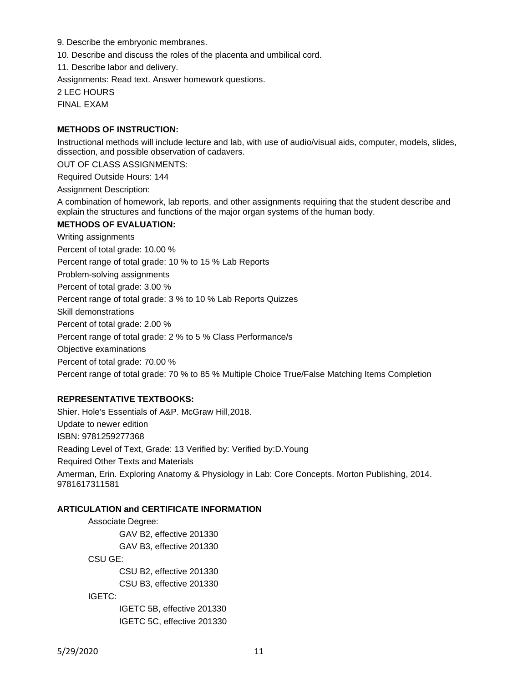9. Describe the embryonic membranes.

10. Describe and discuss the roles of the placenta and umbilical cord.

11. Describe labor and delivery.

Assignments: Read text. Answer homework questions.

2 LEC HOURS

FINAL EXAM

## **METHODS OF INSTRUCTION:**

Instructional methods will include lecture and lab, with use of audio/visual aids, computer, models, slides, dissection, and possible observation of cadavers.

OUT OF CLASS ASSIGNMENTS:

Required Outside Hours: 144

Assignment Description:

A combination of homework, lab reports, and other assignments requiring that the student describe and explain the structures and functions of the major organ systems of the human body.

## **METHODS OF EVALUATION:**

Writing assignments Percent of total grade: 10.00 % Percent range of total grade: 10 % to 15 % Lab Reports Problem-solving assignments Percent of total grade: 3.00 % Percent range of total grade: 3 % to 10 % Lab Reports Quizzes Skill demonstrations Percent of total grade: 2.00 % Percent range of total grade: 2 % to 5 % Class Performance/s Objective examinations Percent of total grade: 70.00 % Percent range of total grade: 70 % to 85 % Multiple Choice True/False Matching Items Completion

# **REPRESENTATIVE TEXTBOOKS:**

Shier. Hole's Essentials of A&P. McGraw Hill,2018. Update to newer edition ISBN: 9781259277368 Reading Level of Text, Grade: 13 Verified by: Verified by:D.Young Required Other Texts and Materials Amerman, Erin. Exploring Anatomy & Physiology in Lab: Core Concepts. Morton Publishing, 2014. 9781617311581

# **ARTICULATION and CERTIFICATE INFORMATION**

Associate Degree: GAV B2, effective 201330 GAV B3, effective 201330 CSU GE: CSU B2, effective 201330 CSU B3, effective 201330 IGETC: IGETC 5B, effective 201330 IGETC 5C, effective 201330